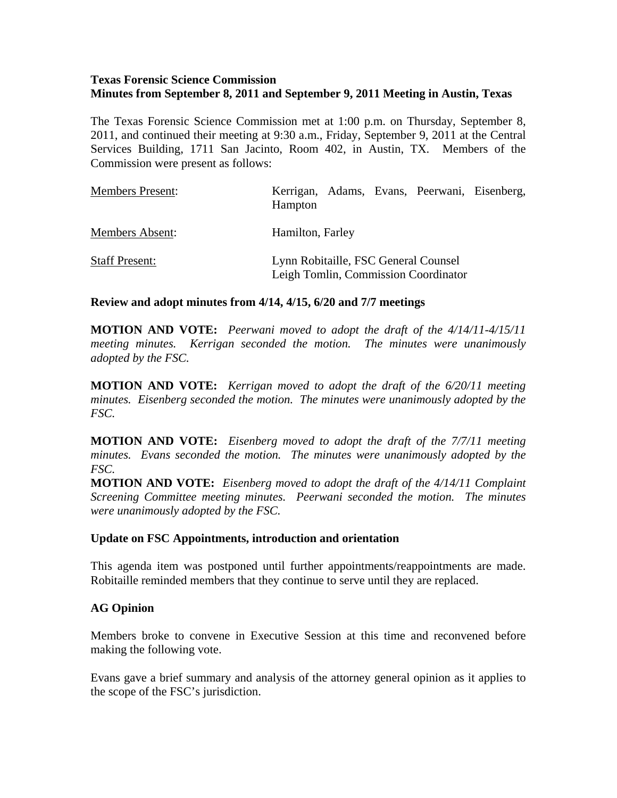# **Texas Forensic Science Commission Minutes from September 8, 2011 and September 9, 2011 Meeting in Austin, Texas**

The Texas Forensic Science Commission met at 1:00 p.m. on Thursday, September 8, 2011, and continued their meeting at 9:30 a.m., Friday, September 9, 2011 at the Central Services Building, 1711 San Jacinto, Room 402, in Austin, TX. Members of the Commission were present as follows:

| <b>Members Present:</b> | Kerrigan, Adams, Evans, Peerwani, Eisenberg,<br>Hampton                      |
|-------------------------|------------------------------------------------------------------------------|
| Members Absent:         | Hamilton, Farley                                                             |
| <b>Staff Present:</b>   | Lynn Robitaille, FSC General Counsel<br>Leigh Tomlin, Commission Coordinator |

### **Review and adopt minutes from 4/14, 4/15, 6/20 and 7/7 meetings**

**MOTION AND VOTE:** *Peerwani moved to adopt the draft of the 4/14/11-4/15/11 meeting minutes. Kerrigan seconded the motion. The minutes were unanimously adopted by the FSC.* 

**MOTION AND VOTE:** *Kerrigan moved to adopt the draft of the 6/20/11 meeting minutes. Eisenberg seconded the motion. The minutes were unanimously adopted by the FSC.* 

**MOTION AND VOTE:** *Eisenberg moved to adopt the draft of the 7/7/11 meeting minutes. Evans seconded the motion. The minutes were unanimously adopted by the FSC.* 

**MOTION AND VOTE:** *Eisenberg moved to adopt the draft of the 4/14/11 Complaint Screening Committee meeting minutes. Peerwani seconded the motion. The minutes were unanimously adopted by the FSC.* 

### **Update on FSC Appointments, introduction and orientation**

This agenda item was postponed until further appointments/reappointments are made. Robitaille reminded members that they continue to serve until they are replaced.

### **AG Opinion**

Members broke to convene in Executive Session at this time and reconvened before making the following vote.

Evans gave a brief summary and analysis of the attorney general opinion as it applies to the scope of the FSC's jurisdiction.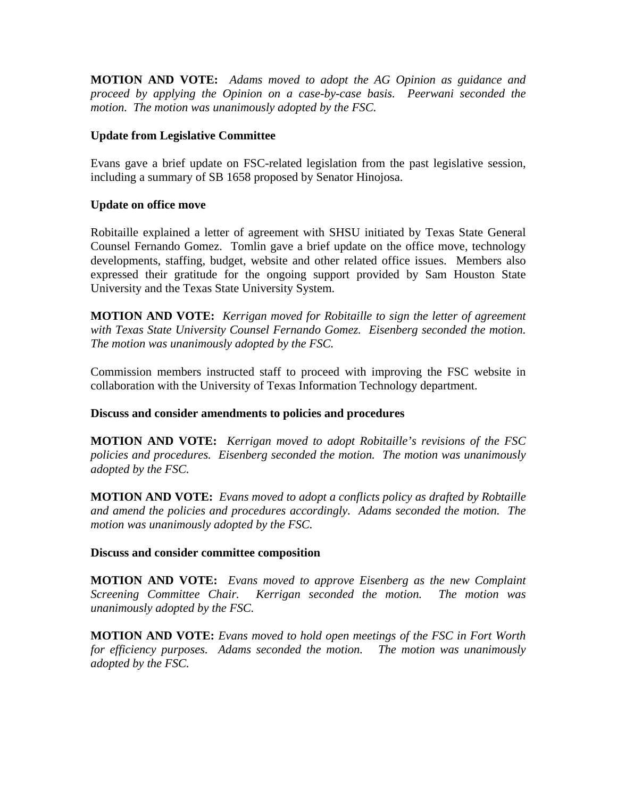**MOTION AND VOTE:** *Adams moved to adopt the AG Opinion as guidance and proceed by applying the Opinion on a case-by-case basis. Peerwani seconded the motion. The motion was unanimously adopted by the FSC.* 

# **Update from Legislative Committee**

Evans gave a brief update on FSC-related legislation from the past legislative session, including a summary of SB 1658 proposed by Senator Hinojosa.

# **Update on office move**

Robitaille explained a letter of agreement with SHSU initiated by Texas State General Counsel Fernando Gomez. Tomlin gave a brief update on the office move, technology developments, staffing, budget, website and other related office issues. Members also expressed their gratitude for the ongoing support provided by Sam Houston State University and the Texas State University System.

**MOTION AND VOTE:** *Kerrigan moved for Robitaille to sign the letter of agreement with Texas State University Counsel Fernando Gomez. Eisenberg seconded the motion. The motion was unanimously adopted by the FSC.* 

Commission members instructed staff to proceed with improving the FSC website in collaboration with the University of Texas Information Technology department.

### **Discuss and consider amendments to policies and procedures**

**MOTION AND VOTE:** *Kerrigan moved to adopt Robitaille's revisions of the FSC policies and procedures. Eisenberg seconded the motion. The motion was unanimously adopted by the FSC.* 

**MOTION AND VOTE:** *Evans moved to adopt a conflicts policy as drafted by Robtaille and amend the policies and procedures accordingly. Adams seconded the motion. The motion was unanimously adopted by the FSC.* 

### **Discuss and consider committee composition**

**MOTION AND VOTE:** *Evans moved to approve Eisenberg as the new Complaint Screening Committee Chair. Kerrigan seconded the motion. The motion was unanimously adopted by the FSC.* 

**MOTION AND VOTE:** *Evans moved to hold open meetings of the FSC in Fort Worth for efficiency purposes. Adams seconded the motion. The motion was unanimously adopted by the FSC.*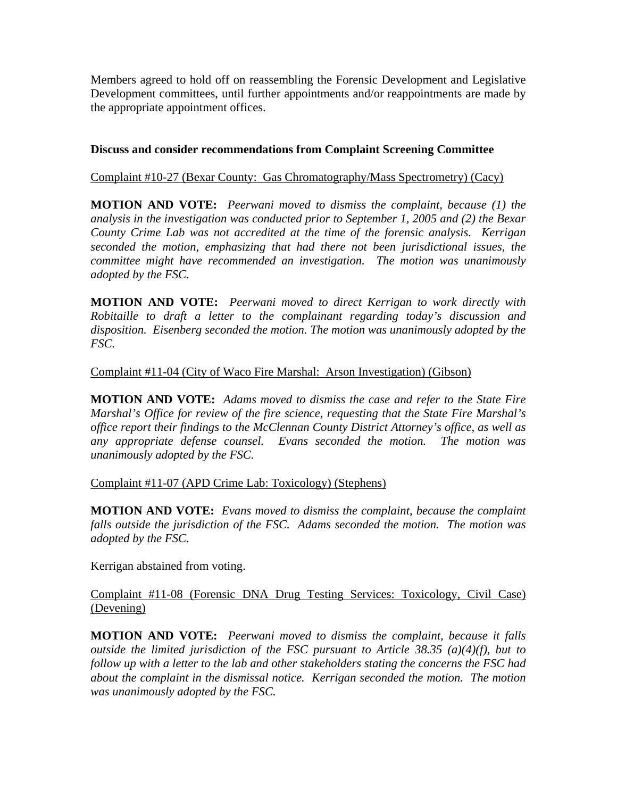Members agreed to hold off on reassembling the Forensic Development and Legislative Development committees, until further appointments and/or reappointments are made by the appropriate appointment offices.

# **Discuss and consider recommendations from Complaint Screening Committee**

# Complaint #10-27 (Bexar County: Gas Chromatography/Mass Spectrometry) (Cacy)

**MOTION AND VOTE:** *Peerwani moved to dismiss the complaint, because (1) the analysis in the investigation was conducted prior to September 1, 2005 and (2) the Bexar County Crime Lab was not accredited at the time of the forensic analysis. Kerrigan seconded the motion, emphasizing that had there not been jurisdictional issues, the committee might have recommended an investigation. The motion was unanimously adopted by the FSC.* 

**MOTION AND VOTE:** *Peerwani moved to direct Kerrigan to work directly with Robitaille to draft a letter to the complainant regarding today's discussion and disposition. Eisenberg seconded the motion. The motion was unanimously adopted by the FSC.* 

# Complaint #11-04 (City of Waco Fire Marshal: Arson Investigation) (Gibson)

**MOTION AND VOTE:** *Adams moved to dismiss the case and refer to the State Fire Marshal's Office for review of the fire science, requesting that the State Fire Marshal's office report their findings to the McClennan County District Attorney's office, as well as any appropriate defense counsel. Evans seconded the motion. The motion was unanimously adopted by the FSC.* 

### Complaint #11-07 (APD Crime Lab: Toxicology) (Stephens)

**MOTION AND VOTE:** *Evans moved to dismiss the complaint, because the complaint falls outside the jurisdiction of the FSC. Adams seconded the motion. The motion was adopted by the FSC.* 

Kerrigan abstained from voting.

# Complaint #11-08 (Forensic DNA Drug Testing Services: Toxicology, Civil Case) (Devening)

**MOTION AND VOTE:** *Peerwani moved to dismiss the complaint, because it falls outside the limited jurisdiction of the FSC pursuant to Article 38.35 (a)(4)(f), but to follow up with a letter to the lab and other stakeholders stating the concerns the FSC had about the complaint in the dismissal notice. Kerrigan seconded the motion. The motion was unanimously adopted by the FSC.*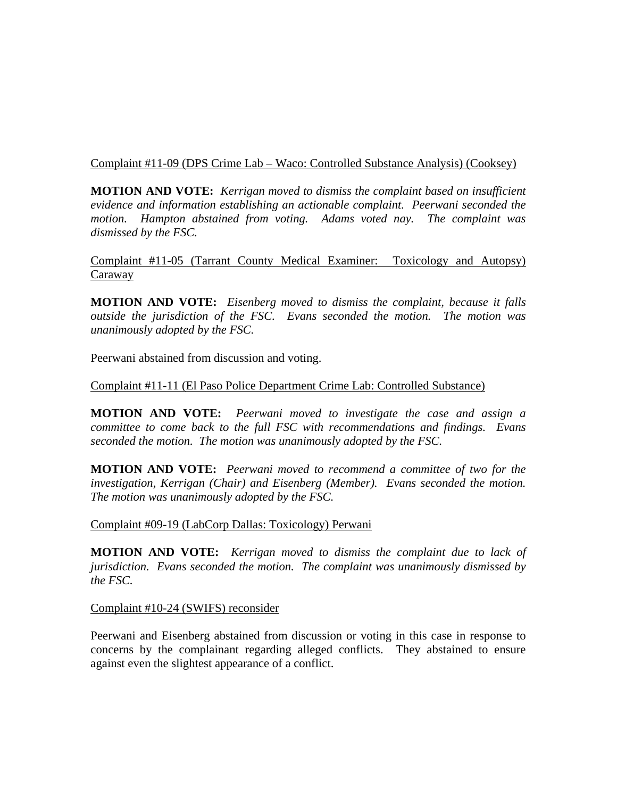# Complaint #11-09 (DPS Crime Lab – Waco: Controlled Substance Analysis) (Cooksey)

**MOTION AND VOTE:** *Kerrigan moved to dismiss the complaint based on insufficient evidence and information establishing an actionable complaint. Peerwani seconded the motion. Hampton abstained from voting. Adams voted nay. The complaint was dismissed by the FSC.* 

Complaint #11-05 (Tarrant County Medical Examiner: Toxicology and Autopsy) Caraway

**MOTION AND VOTE:** *Eisenberg moved to dismiss the complaint, because it falls outside the jurisdiction of the FSC. Evans seconded the motion. The motion was unanimously adopted by the FSC.* 

Peerwani abstained from discussion and voting.

# Complaint #11-11 (El Paso Police Department Crime Lab: Controlled Substance)

**MOTION AND VOTE:** *Peerwani moved to investigate the case and assign a committee to come back to the full FSC with recommendations and findings. Evans seconded the motion. The motion was unanimously adopted by the FSC.* 

**MOTION AND VOTE:** *Peerwani moved to recommend a committee of two for the investigation, Kerrigan (Chair) and Eisenberg (Member). Evans seconded the motion. The motion was unanimously adopted by the FSC.* 

Complaint #09-19 (LabCorp Dallas: Toxicology) Perwani

**MOTION AND VOTE:** *Kerrigan moved to dismiss the complaint due to lack of jurisdiction. Evans seconded the motion. The complaint was unanimously dismissed by the FSC.* 

Complaint #10-24 (SWIFS) reconsider

Peerwani and Eisenberg abstained from discussion or voting in this case in response to concerns by the complainant regarding alleged conflicts. They abstained to ensure against even the slightest appearance of a conflict.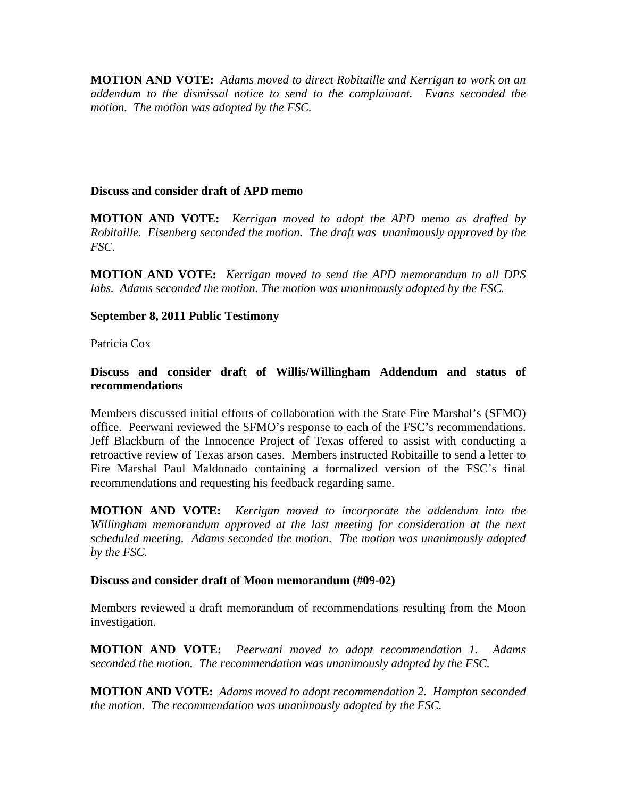**MOTION AND VOTE:** *Adams moved to direct Robitaille and Kerrigan to work on an addendum to the dismissal notice to send to the complainant. Evans seconded the motion. The motion was adopted by the FSC.* 

### **Discuss and consider draft of APD memo**

**MOTION AND VOTE:** *Kerrigan moved to adopt the APD memo as drafted by Robitaille. Eisenberg seconded the motion. The draft was unanimously approved by the FSC.* 

**MOTION AND VOTE:** *Kerrigan moved to send the APD memorandum to all DPS labs. Adams seconded the motion. The motion was unanimously adopted by the FSC.* 

### **September 8, 2011 Public Testimony**

Patricia Cox

### **Discuss and consider draft of Willis/Willingham Addendum and status of recommendations**

Members discussed initial efforts of collaboration with the State Fire Marshal's (SFMO) office. Peerwani reviewed the SFMO's response to each of the FSC's recommendations. Jeff Blackburn of the Innocence Project of Texas offered to assist with conducting a retroactive review of Texas arson cases. Members instructed Robitaille to send a letter to Fire Marshal Paul Maldonado containing a formalized version of the FSC's final recommendations and requesting his feedback regarding same.

**MOTION AND VOTE:** *Kerrigan moved to incorporate the addendum into the Willingham memorandum approved at the last meeting for consideration at the next scheduled meeting. Adams seconded the motion. The motion was unanimously adopted by the FSC.* 

#### **Discuss and consider draft of Moon memorandum (#09-02)**

Members reviewed a draft memorandum of recommendations resulting from the Moon investigation.

**MOTION AND VOTE:** *Peerwani moved to adopt recommendation 1. Adams seconded the motion. The recommendation was unanimously adopted by the FSC.* 

**MOTION AND VOTE:** *Adams moved to adopt recommendation 2. Hampton seconded the motion. The recommendation was unanimously adopted by the FSC.*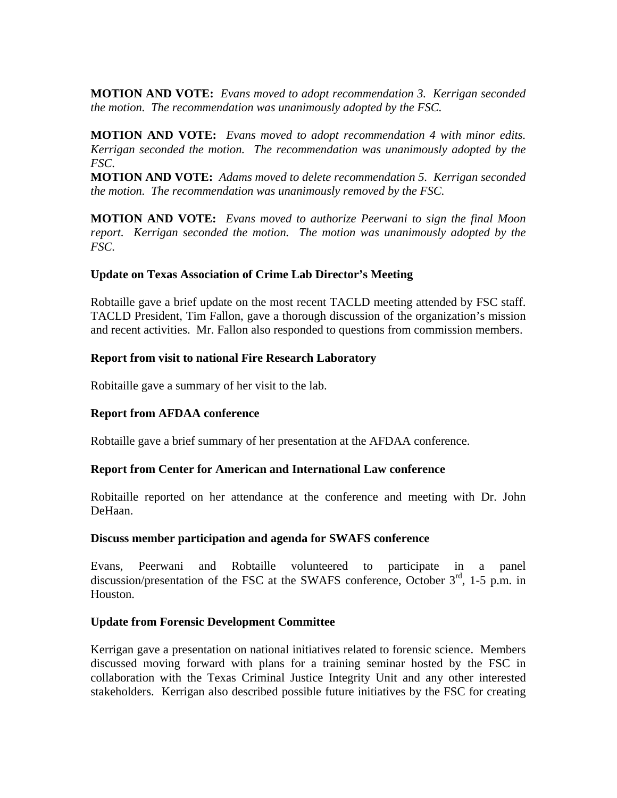**MOTION AND VOTE:** *Evans moved to adopt recommendation 3. Kerrigan seconded the motion. The recommendation was unanimously adopted by the FSC.* 

**MOTION AND VOTE:** *Evans moved to adopt recommendation 4 with minor edits. Kerrigan seconded the motion. The recommendation was unanimously adopted by the FSC.* 

**MOTION AND VOTE:** *Adams moved to delete recommendation 5. Kerrigan seconded the motion. The recommendation was unanimously removed by the FSC.* 

**MOTION AND VOTE:** *Evans moved to authorize Peerwani to sign the final Moon report. Kerrigan seconded the motion. The motion was unanimously adopted by the FSC.*

### **Update on Texas Association of Crime Lab Director's Meeting**

Robtaille gave a brief update on the most recent TACLD meeting attended by FSC staff. TACLD President, Tim Fallon, gave a thorough discussion of the organization's mission and recent activities. Mr. Fallon also responded to questions from commission members.

# **Report from visit to national Fire Research Laboratory**

Robitaille gave a summary of her visit to the lab.

# **Report from AFDAA conference**

Robtaille gave a brief summary of her presentation at the AFDAA conference.

### **Report from Center for American and International Law conference**

Robitaille reported on her attendance at the conference and meeting with Dr. John DeHaan.

### **Discuss member participation and agenda for SWAFS conference**

Evans, Peerwani and Robtaille volunteered to participate in a panel discussion/presentation of the FSC at the SWAFS conference, October  $3<sup>rd</sup>$ , 1-5 p.m. in Houston.

### **Update from Forensic Development Committee**

Kerrigan gave a presentation on national initiatives related to forensic science. Members discussed moving forward with plans for a training seminar hosted by the FSC in collaboration with the Texas Criminal Justice Integrity Unit and any other interested stakeholders. Kerrigan also described possible future initiatives by the FSC for creating